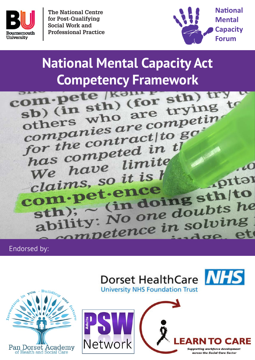

**The National Centre for Post-Qualifying Social Work and Professional Practice**



# **National Mental Capacity Act**

**Competency Framework**<br> **Competency (for sth)**<br> **Competency (for sth)**<br> **Competency** (for sth) sb) (in sth) (for sth)<br>others who are trying to<br>others who are competin sb) who are under<br>companies are competin<br>companies aractito go companies are companies<br>for the contract to go for the contract in the<br>has competed in the has competitive<br>We have limite  $\overline{10}$ We have it is h .pitar claims, suence clatmes,<br>om pet ence<br>sth); c (in doing sth to<br>sth); c (in doing doubts he om P (in doing suits he<br>ability: No one doubts he<br>ability: No one in solving ility: No one doubing

Endorsed by:







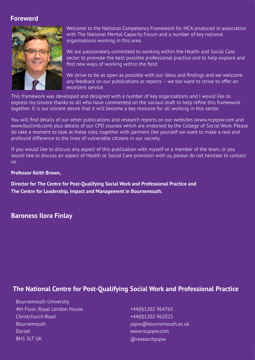## **Foreword**



Welcome to the National Competency Framework for MCA produced in association with The National Mental Capacity Forum and a number of key national organisations working in this area.

We are passionately committed to working within the Health and Social Care sector to promote the best possible professional practice and to help explore and find new ways of working within the field.

We strive to be as open as possible with our ideas and findings and we welcome any feedback on our publications or reports – we too want to strive to offer an excellent service.

This framework was developed and designed with a number of key organisations and I would like to express my sincere thanks to all who have commented on the various draft to help refine this framework together. It is our sincere desire that it will become a key resource for all working in this sector.

You will find details of our other publications and research reports on our websites (www.ncpqsw.com and www.buclimb.com) plus details of our CPD courses which are endorsed by the College of Social Work. Please do take a moment to look at these sites, together with partners like yourself we want to make a real and profound difference to the lives of vulnerable citizens in our society.

If you would like to discuss any aspect of this publication with myself or a member of the team, or you would like to discuss an aspect of Health or Social Care provision with us, please do not hesitate to contact us.

#### **Professor Keith Brown,**

**Director for The Centre for Post-Qualifying Social Work and Professional Practice and The Centre for Leadership, Impact and Management in Bournemouth.** 

## **Baroness Ilora Finlay**

## **The National Centre for Post-Qualifying Social Work and Professional Practice**

Bournemouth University 4th Floor, Royal London House Christchurch Road Bournemouth **Dorset** BH1 3LT UK

+44(0)1202 964765 +44(0)1202 962025 pqsw@bournemouth.ac.uk www.ncpqsw.com @researchpqsw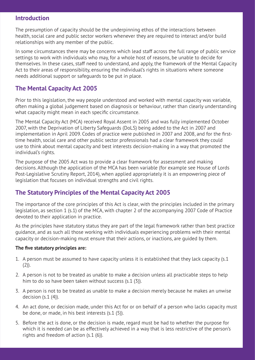#### **Introduction**

The presumption of capacity should be the underpinning ethos of the interactions between health, social care and public sector workers whenever they are required to interact and/or build relationships with any member of the public.

In some circumstances there may be concerns which lead staff across the full range of public service settings to work with individuals who may, for a whole host of reasons, be unable to decide for themselves. In these cases, staff need to understand, and apply, the framework of the Mental Capacity Act to their areas of responsibility, ensuring the individual's rights in situations where someone needs additional support or safeguards to be put in place.

## **The Mental Capacity Act 2005**

Prior to this legislation, the way people understood and worked with mental capacity was variable, often making a global judgement based on diagnosis or behaviour, rather than clearly understanding what capacity might mean in each specific circumstance.

The Mental Capacity Act (MCA) received Royal Assent in 2005 and was fully implemented October 2007, with the Deprivation of Liberty Safeguards (DoLS) being added to the Act in 2007 and implementation in April 2009. Codes of practice were published in 2007 and 2008, and for the firsttime health, social care and other public sector professionals had a clear framework they could use to think about mental capacity and best interests decision-making in a way that promoted the individual's rights.

The purpose of the 2005 Act was to provide a clear framework for assessment and making decisions. Although the application of the MCA has been variable (for example see House of Lords Post-Legislative Scrutiny Report, 2014), when applied appropriately it is an empowering piece of legislation that focuses on individual strengths and civil rights.

## **The Statutory Principles of the Mental Capacity Act 2005**

The importance of the core principles of this Act is clear, with the principles included in the primary legislation, as section 1 (s.1) of the MCA, with chapter 2 of the accompanying 2007 Code of Practice devoted to their application in practice.

As the principles have statutory status they are part of the legal framework rather than best practice guidance, and as such all those working with individuals experiencing problems with their mental capacity or decision-making must ensure that their actions, or inactions, are guided by them.

#### **The five statutory principles are:**

- 1. A person must be assumed to have capacity unless it is established that they lack capacity (s.1  $(2)$ ).
- 2. A person is not to be treated as unable to make a decision unless all practicable steps to help him to do so have been taken without success (s.1 (3)).
- 3. A person is not to be treated as unable to make a decision merely because he makes an unwise decision (s.1 (4)).
- 4. An act done, or decision made, under this Act for or on behalf of a person who lacks capacity must be done, or made, in his best interests (s.1 (5)).
- 5. Before the act is done, or the decision is made, regard must be had to whether the purpose for which it is needed can be as effectively achieved in a way that is less restrictive of the person's rights and freedom of action (s.1 (6)).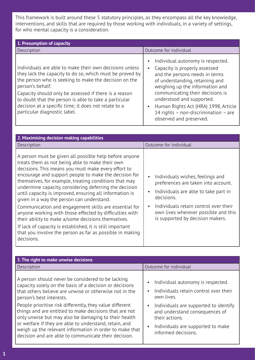This framework is built around these 5 statutory principles, as they encompass all the key knowledge, interventions, and skills that are required by those working with individuals, in a variety of settings, for who mental capacity is a consideration.

| 1. Presumption of capacity                                                                                                                                                                                                                                                                                                                                                                                 |                                                                                                                                                                                                                                                                                                                                                                                               |  |
|------------------------------------------------------------------------------------------------------------------------------------------------------------------------------------------------------------------------------------------------------------------------------------------------------------------------------------------------------------------------------------------------------------|-----------------------------------------------------------------------------------------------------------------------------------------------------------------------------------------------------------------------------------------------------------------------------------------------------------------------------------------------------------------------------------------------|--|
| Description                                                                                                                                                                                                                                                                                                                                                                                                | Outcome for individual                                                                                                                                                                                                                                                                                                                                                                        |  |
| Individuals are able to make their own decisions unless<br>they lack the capacity to do so, which must be proved by<br>the person who is seeking to make the decision on the<br>person's behalf.<br>Capacity should only be assessed if there is a reason<br>to doubt that the person is able to take a particular<br>decision at a specific time; it does not relate to a<br>particular diagnostic label. | Individual autonomy is respected.<br>$\bullet$<br>Capacity is properly assessed<br>$\bullet$<br>and the persons needs in terms<br>of understanding, retaining and<br>weighing up the information and<br>communicating their decisions is<br>understood and supported.<br>Human Rights Act (HRA) 1998, Article<br>$\bullet$<br>14 rights - non-discrimination - are<br>observed and preserved. |  |

| 2. Maximising decision making capabilities                                                                                                                                                                                                                                                                                                                                                                                                                                                                                                                                                                                                                                                                                                                            |                                                                                                                                                                                                                                                                                           |
|-----------------------------------------------------------------------------------------------------------------------------------------------------------------------------------------------------------------------------------------------------------------------------------------------------------------------------------------------------------------------------------------------------------------------------------------------------------------------------------------------------------------------------------------------------------------------------------------------------------------------------------------------------------------------------------------------------------------------------------------------------------------------|-------------------------------------------------------------------------------------------------------------------------------------------------------------------------------------------------------------------------------------------------------------------------------------------|
| Description                                                                                                                                                                                                                                                                                                                                                                                                                                                                                                                                                                                                                                                                                                                                                           | Outcome for individual                                                                                                                                                                                                                                                                    |
| A person must be given all possible help before anyone<br>treats them as not being able to make their own<br>decisions. This means you must make every effort to<br>encourage and support people to make the decision for<br>themselves, for example, treating conditions that may<br>undermine capacity, considering deferring the decision<br>until capacity is improved, ensuring all information is<br>given in a way the person can understand.<br>Communication and engagement skills are essential for<br>anyone working with those effected by difficulties with<br>their ability to make a/some decisions themselves.<br>If lack of capacity is established, it is still important<br>that you involve the person as far as possible in making<br>decisions. | Individuals wishes, feelings and<br>$\bullet$<br>preferences are taken into account.<br>Individuals are able to take part in<br>$\bullet$<br>decisions.<br>Individuals retain control over their<br>$\bullet$<br>own lives wherever possible and this<br>is supported by decision makers. |

| 3. The right to make unwise decisions                                                                                                                                                                                                                                                                                                                                                                                                                                                                                                                         |                                                                                                                                                                                                                                                                                                       |
|---------------------------------------------------------------------------------------------------------------------------------------------------------------------------------------------------------------------------------------------------------------------------------------------------------------------------------------------------------------------------------------------------------------------------------------------------------------------------------------------------------------------------------------------------------------|-------------------------------------------------------------------------------------------------------------------------------------------------------------------------------------------------------------------------------------------------------------------------------------------------------|
| Description                                                                                                                                                                                                                                                                                                                                                                                                                                                                                                                                                   | Outcome for individual                                                                                                                                                                                                                                                                                |
| A person should never be considered to be lacking<br>capacity solely on the basis of a decision or decisions<br>that others believe are unwise or otherwise not in the<br>person's best interests.<br>People prioritise risk differently, they value different<br>things and are entitled to make decisions that are not<br>only unwise but may also be damaging to their health<br>or welfare if they are able to understand, retain, and<br>weigh up the relevant information in order to make that<br>decision and are able to communicate their decision. | Individual autonomy is respected.<br>$\bullet$<br>Individuals retain control over their<br>$\bullet$<br>own lives.<br>Individuals are supported to identify<br>$\bullet$<br>and understand consequences of<br>their actions.<br>Individuals are supported to make<br>$\bullet$<br>informed decisions. |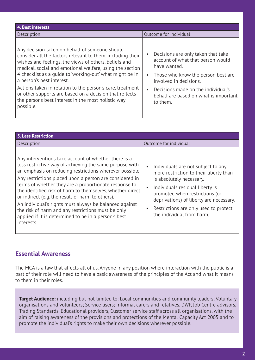| 4. Best interests                                                                                                                                                                                                                                                                                                                                                                                                                                                                                                     |                                                                                                                                                                                                                                                    |
|-----------------------------------------------------------------------------------------------------------------------------------------------------------------------------------------------------------------------------------------------------------------------------------------------------------------------------------------------------------------------------------------------------------------------------------------------------------------------------------------------------------------------|----------------------------------------------------------------------------------------------------------------------------------------------------------------------------------------------------------------------------------------------------|
| Description                                                                                                                                                                                                                                                                                                                                                                                                                                                                                                           | Outcome for individual                                                                                                                                                                                                                             |
| Any decision taken on behalf of someone should<br>consider all the factors relevant to them, including their<br>wishes and feelings, the views of others, beliefs and<br>medical, social and emotional welfare, using the section<br>4 checklist as a guide to 'working-out' what might be in<br>a person's best interest.<br>Actions taken in relation to the person's care, treatment<br>or other supports are based on a decision that reflects<br>the persons best interest in the most holistic way<br>possible. | Decisions are only taken that take<br>account of what that person would<br>have wanted.<br>Those who know the person best are<br>involved in decisions.<br>Decisions made on the individual's<br>behalf are based on what is important<br>to them. |

| <b>5. Less Restriction</b>                                                                                                                                                                                                                                                                                                                                                                                                                                                                                                                                                                            |                                                                                                                                                                                                                                                                                                                          |
|-------------------------------------------------------------------------------------------------------------------------------------------------------------------------------------------------------------------------------------------------------------------------------------------------------------------------------------------------------------------------------------------------------------------------------------------------------------------------------------------------------------------------------------------------------------------------------------------------------|--------------------------------------------------------------------------------------------------------------------------------------------------------------------------------------------------------------------------------------------------------------------------------------------------------------------------|
| Description                                                                                                                                                                                                                                                                                                                                                                                                                                                                                                                                                                                           | Outcome for individual                                                                                                                                                                                                                                                                                                   |
| Any interventions take account of whether there is a<br>less restrictive way of achieving the same purpose with<br>an emphasis on reducing restrictions wherever possible.<br>Any restrictions placed upon a person are considered in<br>terms of whether they are a proportionate response to<br>the identified risk of harm to themselves, whether direct<br>or indirect (e.g. the result of harm to others).<br>An individual's rights must always be balanced against<br>the risk of harm and any restrictions must be only<br>applied if it is determined to be in a person's best<br>interests. | Individuals are not subject to any<br>$\bullet$<br>more restriction to their liberty than<br>is absolutely necessary.<br>Individuals residual liberty is<br>$\bullet$<br>promoted when restrictions (or<br>deprivations) of liberty are necessary.<br>Restrictions are only used to protect<br>the individual from harm. |

## **Essential Awareness**

The MCA is a law that affects all of us. Anyone in any position where interaction with the public is a part of their role will need to have a basic awareness of the principles of the Act and what it means to them in their roles.

**Target Audience:** including but not limited to: Local communities and community leaders; Voluntary organisations and volunteers; Service users; Informal carers and relatives, DWP, Job Centre advisors, Trading Standards, Educational providers, Customer service staff across all organisations, with the aim of raising awareness of the provisions and protections of the Mental Capacity Act 2005 and to promote the individual's rights to make their own decisions wherever possible.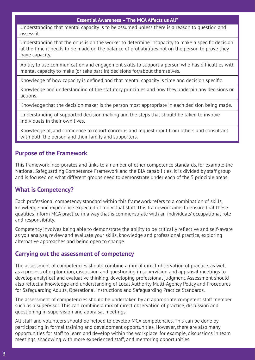#### **Essential Awareness – 'The MCA Affects us All"**

Understanding that mental capacity is to be assumed unless there is a reason to question and assess it.

Understanding that the onus is on the worker to determine incapacity to make a specific decision at the time it needs to be made on the balance of probabilities not on the person to prove they have capacity.

Ability to use communication and engagement skills to support a person who has difficulties with mental capacity to make (or take part in) decisions for/about themselves.

Knowledge of how capacity is defined and that mental capacity is time and decision specific.

Knowledge and understanding of the statutory principles and how they underpin any decisions or actions.

Knowledge that the decision maker is the person most appropriate in each decision being made.

Understanding of supported decision making and the steps that should be taken to involve individuals in their own lives.

Knowledge of, and confidence to report concerns and request input from others and consultant with both the person and their family and supporters.

## **Purpose of the Framework**

This framework incorporates and links to a number of other competence standards, for example the National Safeguarding Competence Framework and the BIA capabilities. It is divided by staff group and is focused on what different groups need to demonstrate under each of the 5 principle areas.

## **What is Competency?**

Each professional competency standard within this framework refers to a combination of skills, knowledge and experience expected of individual staff. This framework aims to ensure that these qualities inform MCA practice in a way that is commensurate with an individuals' occupational role and responsibility.

Competency involves being able to demonstrate the ability to be critically reflective and self-aware as you analyse, review and evaluate your skills, knowledge and professional practice, exploring alternative approaches and being open to change.

## **Carrying out the assessment of competency**

The assessment of competencies should combine a mix of direct observation of practice, as well as a process of exploration, discussion and questioning in supervision and appraisal meetings to develop analytical and evaluative thinking, developing professional judgment. Assessment should also reflect a knowledge and understanding of Local Authority Multi-Agency Policy and Procedures for Safeguarding Adults, Operational Instructions and Safeguarding Practice Standards.

The assessment of competencies should be undertaken by an appropriate competent staff member such as a supervisor. This can combine a mix of direct observation of practice, discussion and questioning in supervision and appraisal meetings.

All staff and volunteers should be helped to develop MCA competencies. This can be done by participating in formal training and development opportunities. However, there are also many opportunities for staff to learn and develop within the workplace, for example, discussions in team meetings, shadowing with more experienced staff, and mentoring opportunities.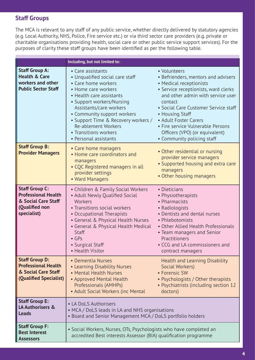## **Staff Groups**

The MCA is relevant to any staff of any public service, whether directly delivered by statutory agencies (e.g. Local Authority, NHS, Police, Fire service etc.) or via third sector care providers (e.g. private or charitable organisations providing health, social care or other public service support services). For the purposes of clarity these staff groups have been identified as per the following table.

|                                                                                                             | Including, but not limited to:                                                                                                                                                                                                                                                                                                               |                                                                                                                                                                                                                                                                                                                                                                 |
|-------------------------------------------------------------------------------------------------------------|----------------------------------------------------------------------------------------------------------------------------------------------------------------------------------------------------------------------------------------------------------------------------------------------------------------------------------------------|-----------------------------------------------------------------------------------------------------------------------------------------------------------------------------------------------------------------------------------------------------------------------------------------------------------------------------------------------------------------|
| <b>Staff Group A:</b><br><b>Health &amp; Care</b><br>workers and other<br><b>Public Sector Staff</b>        | • Care assistants<br>• Unqualified social care staff<br>• Care home workers<br>• Home care workers<br>• Health care assistants<br>• Support workers/Nursing<br>Assistants/care workers<br>• Community support workers<br>• Support Time & Recovery workers /<br><b>Re-ablement Workers</b><br>• Transitions workers<br>• Personal assistants | • Volunteers<br>• Befrienders, mentors and advisers<br>• Medical receptionists<br>· Service receptionists, ward clerks<br>and other admin with service user<br>contact<br>• Social Care Customer Service staff<br>• Housing Staff<br>• Adult Foster Carers<br>• Fire service Vulnerable Persons<br>Officers (VPO) (or equivalent)<br>• Community policing staff |
| <b>Staff Group B:</b><br><b>Provider Managers</b>                                                           | • Care home managers<br>• Home care coordinators and<br>managers<br>• CQC Registered managers in all<br>provider settings<br>• Ward Managers                                                                                                                                                                                                 | • Other residential or nursing<br>provider service managers<br>• Supported housing and extra care<br>managers<br>• Other housing managers                                                                                                                                                                                                                       |
| <b>Staff Group C:</b><br><b>Professional Health</b><br>& Social Care Staff<br>(Qualified non<br>specialist) | • Children & Family Social Workers<br>• Adult Newly Qualified Social<br><b>Workers</b><br>• Transitions social workers<br>• Occupational Therapists<br>• General & Physical Health Nurses<br>• General & Physical Health Medical<br>Staff<br>$\bullet$ GPs<br>• Surgical Staff<br>• Health Visitor                                           | • Dieticians<br>• Physiotherapists<br>• Pharmacists<br>• Radiologists<br>· Dentists and dental nurses<br>• Phlebotomists<br>• Other Allied Health Professionals<br>• Team managers and Senior<br>Practitioners<br>• CCG and LA commissioners and<br>contract managers                                                                                           |
| <b>Staff Group D:</b><br><b>Professional Health</b><br>& Social Care Staff<br>(Qualified Specialist)        | • Dementia Nurses<br>• Learning Disability Nurses<br>• Mental Health Nurses<br>• Approved Mental Health<br>Professionals (AMHPs)<br>• Adult Social Workers (inc Mental                                                                                                                                                                       | <b>Health and Learning Disability</b><br>Social Workers)<br>• Forensic SW<br>• Psychologists / Other therapists<br>• Psychiatrists (including section 12<br>doctors)                                                                                                                                                                                            |
| <b>Staff Group E:</b><br>LA Authorisers &<br><b>Leads</b>                                                   | • LA DoLS Authorisers<br>• MCA / DoLS leads in LA and NHS organisations<br>• Board and Senior Management MCA / DoLS portfolio holders                                                                                                                                                                                                        |                                                                                                                                                                                                                                                                                                                                                                 |
| <b>Staff Group F:</b><br><b>Best Interest</b><br><b>Assessors</b>                                           | • Social Workers, Nurses, OTs, Psychologists who have completed an<br>accredited Best interests Assessor (BIA) qualification programme                                                                                                                                                                                                       |                                                                                                                                                                                                                                                                                                                                                                 |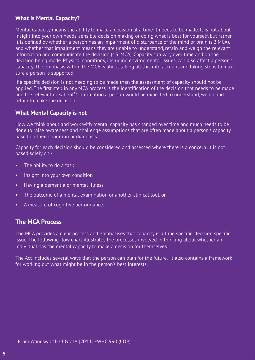## **What is Mental Capacity?**

Mental Capacity means the ability to make a decision at a time it needs to be made. It is not about insight into your own needs, sensible decision making or doing what is best for yourself, but rather it is defined by whether a person has an impairment of disturbance of the mind or brain (s.2 MCA), and whether that impairment means they are unable to understand, retain and weigh the relevant information and communicate the decision (s.3, MCA). Capacity can vary over time and on the decision being made. Physical conditions, including environmental issues, can also affect a person's capacity. The emphasis within the MCA is about taking all this into account and taking steps to make sure a person is supported.

If a specific decision is not needing to be made then the assessment of capacity should not be applied. The first step in any MCA process is the identification of the decision that needs to be made and the relevant or 'salient<sup>1</sup>' information a person would be expected to understand, weigh and retain to make the decision.

## **What Mental Capacity is not**

How we think about and work with mental capacity has changed over time and much needs to be done to raise awareness and challenge assumptions that are often made about a person's capacity based on their condition or diagnosis.

Capacity for each decision should be considered and assessed where there is a concern. It is not based solely on -

- The ability to do a task
- Insight into your own condition
- Having a dementia or mental illness
- The outcome of a mental examination or another clinical tool, or
- A measure of cognitive performance.

## **The MCA Process**

The MCA provides a clear process and emphasises that capacity is a time specific, decision specific, issue. The following flow chart illustrates the processes involved in thinking about whether an individual has the mental capacity to make a decision for themselves.

The Act includes several ways that the person can plan for the future. It also contains a framework for working out what might be in the person's best interests.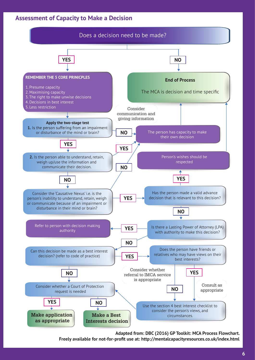## **Assessment of Capacity to Make a Decision**



**Adapted from: DBC (2016) GP Toolkit: MCA Process Flowchart.** 

**Freely available for not-for-profit use at: http://mentalcapacityresources.co.uk/index.html**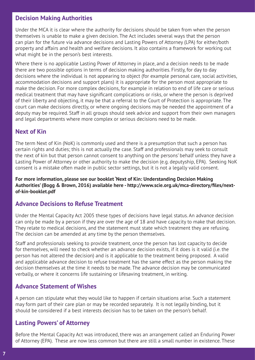## **Decision Making Authorities**

Under the MCA it is clear where the authority for decisions should be taken from when the person themselves is unable to make a given decision. The Act includes several ways that the person can plan for the future via advance decisions and Lasting Powers of Attorney (LPA) for either/both property and affairs and health and welfare decisions. It also contains a framework for working out what might be in the person's best interests.

Where there is no applicable Lasting Power of Attorney in place, and a decision needs to be made there are two possible options in terms of decision making authorities. Firstly, for day to day decisions where the individual is not appearing to object (for example personal care, social activities, accommodation decisions and support plans) it is appropriate for the person most appropriate to make the decision. For more complex decisions, for example in relation to end of life care or serious medical treatment that may have significant complications or risks, or where the person is deprived of their liberty and objecting, it may be that a referral to the Court of Protection is appropriate. The court can make decisions directly, or where ongoing decisions may be needed the appointment of a deputy may be required. Staff in all groups should seek advice and support from their own managers and legal departments where more complex or serious decisions need to be made.

## **Next of Kin**

The term Next of Kin (NoK) is commonly used and there is a presumption that such a person has certain rights and duties; this is not actually the case. Staff and professionals may seek to consult the next of kin but that person cannot consent to anything on the persons' behalf unless they have a Lasting Power of Attorney or other authority to make the decision (e.g. deputyship, EPA). Seeking NoK consent is a mistake often made in public sector settings, but it is not a legally valid consent.

**For more information, please see our booklet 'Next of Kin: Understanding Decision Making Authorities' (Bogg & Brown, 2016) available here - http://www.scie.org.uk/mca-directory/files/nextof-kin-booklet.pdf**

## **Advance Decisions to Refuse Treatment**

Under the Mental Capacity Act 2005 these types of decisions have legal status. An advance decision can only be made by a person if they are over the age of 18 and have capacity to make that decision. They relate to medical decisions, and the statement must state which treatment they are refusing. The decision can be amended at any time by the person themselves.

Staff and professionals seeking to provide treatment, once the person has lost capacity to decide for themselves, will need to check whether an advance decision exists, if it does is it valid (i.e. the person has not altered the decision) and is it applicable to the treatment being proposed. A valid and applicable advance decision to refuse treatment has the same effect as the person making the decision themselves at the time it needs to be made. The advance decision may be communicated verbally, or where it concerns life sustaining or lifesaving treatment, in writing.

## **Advance Statement of Wishes**

A person can stipulate what they would like to happen if certain situations arise. Such a statement may form part of their care plan or may be recorded separately. It is not legally binding, but it should be considered if a best interests decision has to be taken on the person's behalf.

## **Lasting Powers' of Attorney**

Before the Mental Capacity Act was introduced, there was an arrangement called an Enduring Power of Attorney (EPA). These are now less common but there are still a small number in existence. These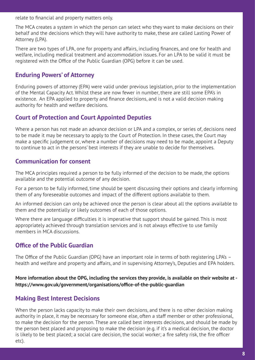relate to financial and property matters only.

The MCA creates a system in which the person can select who they want to make decisions on their behalf and the decisions which they will have authority to make, these are called Lasting Power of Attorney (LPA).

There are two types of LPA, one for property and affairs, including finances, and one for health and welfare, including medical treatment and accommodation issues. For an LPA to be valid it must be registered with the Office of the Public Guardian (OPG) before it can be used.

## **Enduring Powers' of Attorney**

Enduring powers of attorney (EPA) were valid under previous legislation, prior to the implementation of the Mental Capacity Act. Whilst these are now fewer in number, there are still some EPA's in existence. An EPA applied to property and finance decisions, and is not a valid decision making authority for health and welfare decisions.

## **Court of Protection and Court Appointed Deputies**

Where a person has not made an advance decision or LPA and a complex, or series of, decisions need to be made it may be necessary to apply to the Court of Protection. In these cases, the Court may make a specific judgement or, where a number of decisions may need to be made, appoint a Deputy to continue to act in the persons' best interests if they are unable to decide for themselves.

## **Communication for consent**

The MCA principles required a person to be fully informed of the decision to be made, the options available and the potential outcome of any decision.

For a person to be fully informed, time should be spent discussing their options and clearly informing them of any foreseeable outcomes and impact of the different options available to them.

An informed decision can only be achieved once the person is clear about all the options available to them and the potentially or likely outcomes of each of those options.

Where there are language difficulties it is imperative that support should be gained. This is most appropriately achieved through translation services and is not always effective to use family members in MCA discussions.

## **Office of the Public Guardian**

The Office of the Public Guardian (OPG) have an important role in terms of both registering LPA's – health and welfare and property and affairs, and in supervising Attorney's, Deputies and EPA holders.

**More information about the OPG, including the services they provide, is available on their website at https://www.gov.uk/government/organisations/office-of-the-public-guardian**

## **Making Best Interest Decisions**

When the person lacks capacity to make their own decisions, and there is no other decision making authority in place, it may be necessary for someone else, often a staff member or other professional, to make the decision for the person. These are called best interests decisions, and should be made by the person best placed and proposing to make the decision (e.g. if it's a medical decision, the doctor is likely to be best placed; a social care decision, the social worker; a fire safety risk, the fire officer etc).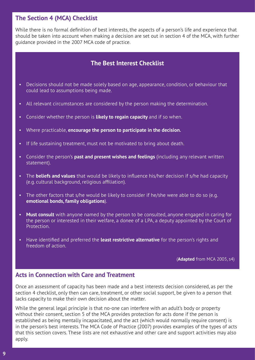## **The Section 4 (MCA) Checklist**

While there is no formal definition of best interests, the aspects of a person's life and experience that should be taken into account when making a decision are set out in section 4 of the MCA, with further guidance provided in the 2007 MCA code of practice.

## **The Best Interest Checklist**

- Decisions should not be made solely based on age, appearance, condition, or behaviour that could lead to assumptions being made.
- All relevant circumstances are considered by the person making the determination.
- Consider whether the person is **likely to regain capacity** and if so when.
- Where practicable, **encourage the person to participate in the decision.**
- If life sustaining treatment, must not be motivated to bring about death.
- Consider the person's **past and present wishes and feelings** (including any relevant written statement).
- The **beliefs and values** that would be likely to influence his/her decision if s/he had capacity (e.g. cultural background, religious affiliation).
- The other factors that s/he would be likely to consider if he/she were able to do so (e.g. **emotional bonds, family obligations**).
- **Must consult** with anyone named by the person to be consulted, anyone engaged in caring for the person or interested in their welfare, a donee of a LPA, a deputy appointed by the Court of Protection.
- Have identified and preferred the **least restrictive alternative** for the person's rights and freedom of action.

(**Adapted** from MCA 2005, s4)

## **Acts in Connection with Care and Treatment**

Once an assessment of capacity has been made and a best interests decision considered, as per the section 4 checklist, only then can care, treatment, or other social support, be given to a person that lacks capacity to make their own decision about the matter.

While the general legal principle is that no-one can interfere with an adult's body or property without their consent, section 5 of the MCA provides protection for acts done if the person is established as being mentally incapacitated, and the act (which would normally require consent) is in the person's best interests. The MCA Code of Practice (2007) provides examples of the types of acts that this section covers. These lists are not exhaustive and other care and support activities may also apply.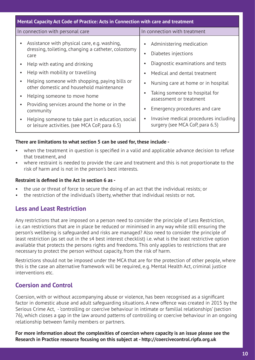| Mental Capacity Act Code of Practice: Acts in Connection with care and treatment                                                                                                                                                                                                                                                                                                                      |                                                                                                                                                                                                                                                                                                                 |  |
|-------------------------------------------------------------------------------------------------------------------------------------------------------------------------------------------------------------------------------------------------------------------------------------------------------------------------------------------------------------------------------------------------------|-----------------------------------------------------------------------------------------------------------------------------------------------------------------------------------------------------------------------------------------------------------------------------------------------------------------|--|
| In connection with personal care<br>In connection with treatment                                                                                                                                                                                                                                                                                                                                      |                                                                                                                                                                                                                                                                                                                 |  |
| Assistance with physical care, e.g. washing,<br>$\bullet$<br>dressing, toileting, changing a catheter, colostomy<br>care<br>Help with eating and drinking<br>Help with mobility or travelling<br>Helping someone with shopping, paying bills or<br>other domestic and household maintenance<br>Helping someone to move home<br>$\bullet$<br>Providing services around the home or in the<br>community | Administering medication<br>Diabetes injections<br>Diagnostic examinations and tests<br>Medical and dental treatment<br>Nursing care at home or in hospital<br>Taking someone to hospital for<br>assessment or treatment<br>Emergency procedures and care<br>Invasive medical procedures including<br>$\bullet$ |  |
| Helping someone to take part in education, social<br>$\bullet$<br>or leisure activities. (see MCA CoP, para 6.5)                                                                                                                                                                                                                                                                                      | surgery (see MCA CoP, para 6.5)                                                                                                                                                                                                                                                                                 |  |

#### **There are limitations to what section 5 can be used for, these include -**

- when the treatment in question is specified in a valid and applicable advance decision to refuse that treatment, and
- where restraint is needed to provide the care and treatment and this is not proportionate to the risk of harm and is not in the person's best interests.

#### **Restraint is defined in the Act in section 6 as -**

- the use or threat of force to secure the doing of an act that the individual resists; or
- the restriction of the individual's liberty, whether that individual resists or not.

## **Less and Least Restriction**

Any restrictions that are imposed on a person need to consider the principle of Less Restriction, i.e. can restrictions that are in place be reduced or minimised in any way while still ensuring the person's wellbeing is safeguarded and risks are managed? Also need to consider the principle of least restriction (as set out in the s4 best interest checklist) i.e. what is the least restrictive option available that protects the persons rights and freedoms. This only applies to restrictions that are necessary to protect the person without capacity, from the risk of harm.

Restrictions should not be imposed under the MCA that are for the protection of other people, where this is the case an alternative framework will be required, e.g. Mental Health Act, criminal justice interventions etc.

## **Coersion and Control**

Coersion, with or without accompanying abuse or violence, has been recognised as a significant factor in domestic abuse and adult safeguarding situations. A new offence was created in 2015 by the Serious Crime Act, - 'controlling or coercive behaviour in intimate or familial relationships' (section 76), which closes a gap in the law around patterns of controlling or coercive behaviour in an ongoing relationship between family members or partners.

**For more information about the complexities of coercion where capacity is an issue please see the Research in Practice resource focusing on this subject at - http://coercivecontrol.ripfa.org.uk**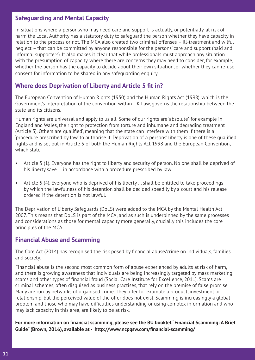## **Safeguarding and Mental Capacity**

In situations where a person,who may need care and support is actually, or potentially, at risk of harm the Local Authority has a statutory duty to safeguard the person whether they have capacity in relation to the process or not. The MCA also created two criminal offenses – ill-treatment and wilful neglect – that can be committed by anyone responsible for the persons' care and support (paid and informal supporters). It also makes it clear that while professionals must approach any situation with the presumption of capacity, where there are concerns they may need to consider, for example, whether the person has the capacity to decide about their own situation, or whether they can refuse consent for information to be shared in any safeguarding enquiry.

## **Where does Deprivation of Liberty and Article 5 fit in?**

The European Convention of Human Rights (1950) and the Human Rights Act (1998), which is the Government's interpretation of the convention within UK Law, governs the relationship between the state and its citizens.

Human rights are universal and apply to us all. Some of our rights are 'absolute', for example in England and Wales, the right to protection from torture and inhumane and degrading treatment (Article 3). Others are 'qualified', meaning that the state can interfere with them if there is a 'procedure prescribed by law' to authorise it. Deprivation of a persons' liberty is one of these qualified rights and is set out in Article 5 of both the Human Rights Act 1998 and the European Convention, which state –

- Article 5 (1). Everyone has the right to liberty and security of person. No one shall be deprived of his liberty save … in accordance with a procedure prescribed by law.
- Article 5 (4). Everyone who is deprived of his liberty … shall be entitled to take proceedings by which the lawfulness of his detention shall be decided speedily by a court and his release ordered if the detention is not lawful.

The Deprivation of Liberty Safeguards (DoLS) were added to the MCA by the Mental Health Act 2007. This means that DoLS is part of the MCA, and as such is underpinned by the same processes and considerations as those for mental capacity more generally, crucially this includes the core principles of the MCA.

## **Financial Abuse and Scamming**

The Care Act (2014) has recognised the risk posed by financial abuse/crime on individuals, families and society.

Financial abuse is the second most common form of abuse experienced by adults at risk of harm, and there is growing awareness that individuals are being increasingly targeted by mass marketing scams and other types of financial fraud (Social Care Institute for Excellence, 2011). Scams are criminal schemes, often disguised as business practises, that rely on the premise of false promise. Many are run by networks of organised crime. They offer for example a product, investment or relationship, but the perceived value of the offer does not exist. Scamming is increasingly a global problem and those who may have difficulties understanding or using complex information and who may lack capacity in this area, are likely to be at risk.

**For more information on financial scamming, please see the BU booklet "Financial Scamming: A Brief Guide" (Brown, 2016), available at - http://www.ncpqsw.com/financial-scamming/**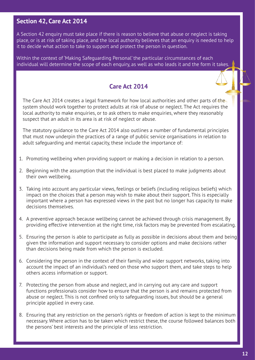## **Section 42, Care Act 2014**

A Section 42 enquiry must take place if there is reason to believe that abuse or neglect is taking place, or is at risk of taking place, and the local authority believes that an enquiry is needed to help it to decide what action to take to support and protect the person in question.

Within the context of 'Making Safeguarding Personal' the particular circumstances of each individual will determine the scope of each enquiry, as well as who leads it and the form it takes.

## **Care Act 2014**

The Care Act 2014 creates a legal framework for how local authorities and other parts of the system should work together to protect adults at risk of abuse or neglect. The Act requires the local authority to make enquiries, or to ask others to make enquiries, where they reasonably suspect that an adult in its area is at risk of neglect or abuse.

The statutory guidance to the Care Act 2014 also outlines a number of fundamental principles that must now underpin the practices of a range of public service organisations in relation to adult safeguarding and mental capacity, these include the importance of:

- 1. Promoting wellbeing when providing support or making a decision in relation to a person.
- 2. Beginning with the assumption that the individual is best placed to make judgments about their own wellbeing.
- 3. Taking into account any particular views, feelings or beliefs (including religious beliefs) which impact on the choices that a person may wish to make about their support. This is especially important where a person has expressed views in the past but no longer has capacity to make decisions themselves.
- 4. A preventive approach because wellbeing cannot be achieved through crisis management. By providing effective intervention at the right time, risk factors may be prevented from escalating.
- 5. Ensuring the person is able to participate as fully as possible in decisions about them and being given the information and support necessary to consider options and make decisions rather than decisions being made from which the person is excluded.
- 6. Considering the person in the context of their family and wider support networks, taking into account the impact of an individual's need on those who support them, and take steps to help others access information or support.
- 7. Protecting the person from abuse and neglect, and in carrying out any care and support functions professionals consider how to ensure that the person is and remains protected from abuse or neglect. This is not confined only to safeguarding issues, but should be a general principle applied in every case.
- 8. Ensuring that any restriction on the person's rights or freedom of action is kept to the minimum necessary. Where action has to be taken which restrict these, the course followed balances both the persons' best interests and the principle of less restriction.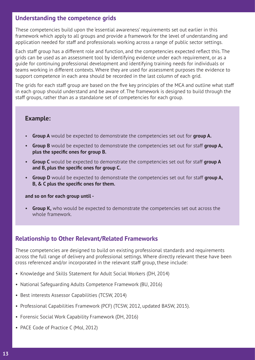## **Understanding the competence grids**

These competencies build upon the 'essential awareness' requirements set out earlier in this framework which apply to all groups and provide a framework for the level of understanding and application needed for staff and professionals working across a range of public sector settings.

Each staff group has a different role and function, and the competencies expected reflect this. The grids can be used as an assessment tool by identifying evidence under each requirement, or as a guide for continuing professional development and identifying training needs for individuals or teams working in different contexts. Where they are used for assessment purposes the evidence to support competence in each area should be recorded in the last column of each grid.

The grids for each staff group are based on the five key principles of the MCA and outline what staff in each group should understand and be aware of. The framework is designed to build through the staff groups, rather than as a standalone set of competencies for each group.

## **Example:**

- **Group A** would be expected to demonstrate the competencies set out for **group A.**
- **Group B** would be expected to demonstrate the competencies set out for staff **group A, plus the specific ones for group B.**
- **Group C** would be expected to demonstrate the competencies set out for staff **group A and B, plus the specific ones for group C.**
- **Group D** would be expected to demonstrate the competencies set out for staff **group A, B, & C plus the specific ones for them.**

#### **and so on for each group until -**

• **Group K,** who would be expected to demonstrate the competencies set out across the whole framework.

## **Relationship to Other Relevant/Related Frameworks**

These competencies are designed to build on existing professional standards and requirements across the full range of delivery and professional settings. Where directly relevant these have been cross referenced and/or incorporated in the relevant staff group, these include:

- Knowledge and Skills Statement for Adult Social Workers (DH, 2014)
- National Safeguarding Adults Competence Framework (BU, 2016)
- Best interests Assessor Capabilities (TCSW, 2014)
- Professional Capabilities Framework (PCF) (TCSW, 2012, updated BASW, 2015).
- Forensic Social Work Capability Framework (DH, 2016)
- PACE Code of Practice C (MoJ, 2012)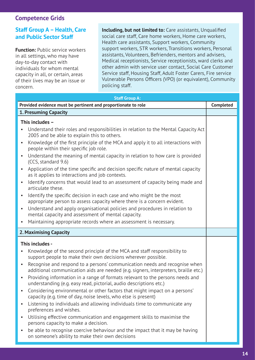## **Competence Grids**

## **Staff Group A – Health, Care and Public Sector Staff**

**Function: Public service workers** in all settings, who may have day-to-day contact with individuals for whom mental capacity in all, or certain, areas of their lives may be an issue or concern.

**Including, but not limited to:** Care assistants, Unqualified social care staff, Care home workers, Home care workers, Health care assistants, Support workers, Community support workers, STR workers, Transitions workers, Personal assistants, Volunteers, Befrienders, mentors and advisers, Medical receptionists, Service receptionists, ward clerks and other admin with service user contact, Social Care Customer Service staff, Housing Staff, Adult Foster Carers, Fire service Vulnerable Persons Officers (VPO) (or equivalent), Community policing staff.

| <b>Staff Group A:</b> |                                                                                                                                                                   |                  |
|-----------------------|-------------------------------------------------------------------------------------------------------------------------------------------------------------------|------------------|
|                       | Provided evidence must be pertinent and proportionate to role                                                                                                     | <b>Completed</b> |
|                       | <b>1. Presuming Capacity</b>                                                                                                                                      |                  |
|                       | This includes -                                                                                                                                                   |                  |
|                       | Understand their roles and responsibilities in relation to the Mental Capacity Act<br>2005 and be able to explain this to others.                                 |                  |
| $\bullet$             | Knowledge of the first principle of the MCA and apply it to all interactions with<br>people within their specific job role.                                       |                  |
| $\bullet$             | Understand the meaning of mental capacity in relation to how care is provided<br>(CCS, standard 9.6)                                                              |                  |
| $\bullet$             | Application of the time specific and decision specific nature of mental capacity<br>as it applies to interactions and job contexts.                               |                  |
| $\bullet$             | Identify concerns that would lead to an assessment of capacity being made and<br>articulate these.                                                                |                  |
| $\bullet$             | Identify the specific decision in each case and who might be the most<br>appropriate person to assess capacity where there is a concern evident.                  |                  |
| $\bullet$             | Understand and apply organisational policies and procedures in relation to<br>mental capacity and assessment of mental capacity.                                  |                  |
| $\bullet$             | Maintaining appropriate records where an assessment is necessary.                                                                                                 |                  |
|                       | 2. Maximising Capacity                                                                                                                                            |                  |
|                       | This includes -                                                                                                                                                   |                  |
| $\bullet$             | Knowledge of the second principle of the MCA and staff responsibility to<br>support people to make their own decisions wherever possible.                         |                  |
| $\bullet$             | Recognise and respond to a persons' communication needs and recognise when<br>additional communication aids are needed (e.g. signers, interpreters, braille etc.) |                  |
| $\bullet$             | Providing information in a range of formats relevant to the persons needs and<br>understanding (e.g. easy read, pictorial, audio descriptions etc.)               |                  |
|                       | Considering environmental or other factors that might impact on a persons'<br>capacity (e.g. time of day, noise levels, who else is present)                      |                  |
| $\bullet$             | Listening to individuals and allowing individuals time to communicate any<br>preferences and wishes.                                                              |                  |
| $\bullet$             | Utilising effective communication and engagement skills to maximise the<br>persons capacity to make a decision.                                                   |                  |
| $\bullet$             | be able to recognise coercive behaviour and the impact that it may be having<br>on someone's ability to make their own decisions                                  |                  |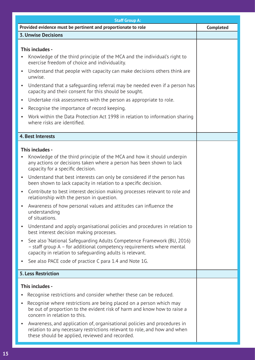| <b>Staff Group A:</b>                                                                                                                                                                                                                                                                                                                                                                                                                                                                                                                                                                                                                                                                                                                                                                                                                                                                                                                                                                                                                                                   |                  |  |
|-------------------------------------------------------------------------------------------------------------------------------------------------------------------------------------------------------------------------------------------------------------------------------------------------------------------------------------------------------------------------------------------------------------------------------------------------------------------------------------------------------------------------------------------------------------------------------------------------------------------------------------------------------------------------------------------------------------------------------------------------------------------------------------------------------------------------------------------------------------------------------------------------------------------------------------------------------------------------------------------------------------------------------------------------------------------------|------------------|--|
| Provided evidence must be pertinent and proportionate to role                                                                                                                                                                                                                                                                                                                                                                                                                                                                                                                                                                                                                                                                                                                                                                                                                                                                                                                                                                                                           | <b>Completed</b> |  |
| <b>3. Unwise Decisions</b>                                                                                                                                                                                                                                                                                                                                                                                                                                                                                                                                                                                                                                                                                                                                                                                                                                                                                                                                                                                                                                              |                  |  |
| This includes -<br>Knowledge of the third principle of the MCA and the individual's right to<br>$\bullet$<br>exercise freedom of choice and individuality.<br>Understand that people with capacity can make decisions others think are<br>$\bullet$<br>unwise.<br>Understand that a safeguarding referral may be needed even if a person has<br>$\bullet$<br>capacity and their consent for this should be sought.<br>Undertake risk assessments with the person as appropriate to role.<br>$\bullet$<br>Recognise the importance of record keeping.<br>$\bullet$<br>Work within the Data Protection Act 1998 in relation to information sharing<br>$\bullet$<br>where risks are identified.                                                                                                                                                                                                                                                                                                                                                                            |                  |  |
| 4. Best Interests                                                                                                                                                                                                                                                                                                                                                                                                                                                                                                                                                                                                                                                                                                                                                                                                                                                                                                                                                                                                                                                       |                  |  |
| This includes -<br>Knowledge of the third principle of the MCA and how it should underpin<br>$\bullet$<br>any actions or decisions taken where a person has been shown to lack<br>capacity for a specific decision.<br>Understand that best interests can only be considered if the person has<br>$\bullet$<br>been shown to lack capacity in relation to a specific decision.<br>Contribute to best interest decision making processes relevant to role and<br>$\bullet$<br>relationship with the person in question.<br>Awareness of how personal values and attitudes can influence the<br>understanding<br>of situations.<br>Understand and apply organisational policies and procedures in relation to<br>$\bullet$<br>best interest decision making processes.<br>See also 'National Safeguarding Adults Competence Framework (BU, 2016)<br>$\bullet$<br>- staff group A - for additional competency requirements where mental<br>capacity in relation to safeguarding adults is relevant.<br>See also PACE code of practice C para 1.4 and Note 1G.<br>$\bullet$ |                  |  |
| <b>5. Less Restriction</b>                                                                                                                                                                                                                                                                                                                                                                                                                                                                                                                                                                                                                                                                                                                                                                                                                                                                                                                                                                                                                                              |                  |  |
| This includes -<br>Recognise restrictions and consider whether these can be reduced.<br>$\bullet$<br>Recognise where restrictions are being placed on a person which may<br>$\bullet$<br>be out of proportion to the evident risk of harm and know how to raise a<br>concern in relation to this.<br>Awareness, and application of, organisational policies and procedures in<br>$\bullet$<br>relation to any necessary restrictions relevant to role, and how and when<br>these should be applied, reviewed and recorded.                                                                                                                                                                                                                                                                                                                                                                                                                                                                                                                                              |                  |  |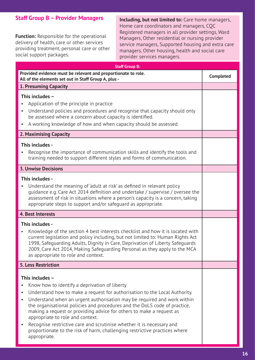## **Staff Group B – Provider Managers**

**Function:** Responsible for the operational delivery of health, care or other services providing treatment, personal care or other social support packages.

**Including, but not limited to:** Care home managers, Home care coordinators and managers, CQC Registered managers in all provider settings, Ward Managers, Other residential or nursing provider service managers, Supported housing and extra care managers, Other housing, health and social care provider services managers.

| <b>Staff Group B:</b>                                                                                                                                                                                                                                                                                                                                                                                                                                                                                                                                                                                                                         |                  |  |
|-----------------------------------------------------------------------------------------------------------------------------------------------------------------------------------------------------------------------------------------------------------------------------------------------------------------------------------------------------------------------------------------------------------------------------------------------------------------------------------------------------------------------------------------------------------------------------------------------------------------------------------------------|------------------|--|
| Provided evidence must be relevant and proportionate to role.<br>All of the elements set out in Staff Group A, plus -                                                                                                                                                                                                                                                                                                                                                                                                                                                                                                                         | <b>Completed</b> |  |
| <b>1. Presuming Capacity</b>                                                                                                                                                                                                                                                                                                                                                                                                                                                                                                                                                                                                                  |                  |  |
| This includes -<br>Application of the principle in practice<br>Understand policies and procedures and recognise that capacity should only<br>$\bullet$<br>be assessed where a concern about capacity is identified.<br>A working knowledge of how and when capacity should be assessed.                                                                                                                                                                                                                                                                                                                                                       |                  |  |
| 2. Maximising Capacity                                                                                                                                                                                                                                                                                                                                                                                                                                                                                                                                                                                                                        |                  |  |
| This includes -<br>Recognise the importance of communication skills and identify the tools and<br>training needed to support different styles and forms of communication.                                                                                                                                                                                                                                                                                                                                                                                                                                                                     |                  |  |
| <b>3. Unwise Decisions</b>                                                                                                                                                                                                                                                                                                                                                                                                                                                                                                                                                                                                                    |                  |  |
| This includes -<br>Understand the meaning of adult at risk as defined in relevant policy<br>guidance e.g. Care Act 2014 definition and undertake / supervise / oversee the<br>assessment of risk in situations where a person's capacity is a concern, taking<br>appropriate steps to support and/or safeguard as appropriate.                                                                                                                                                                                                                                                                                                                |                  |  |
| <b>4. Best Interests</b>                                                                                                                                                                                                                                                                                                                                                                                                                                                                                                                                                                                                                      |                  |  |
| This includes -<br>Knowledge of the section 4 best interests checklist and how it is located with<br>$\bullet$<br>current legislation and policy including, but not limited to: Human Rights Act<br>1998, Safeguarding Adults, Dignity in Care, Deprivation of Liberty Safeguards<br>2009, Care Act 2014, Making Safeguarding Personal as they apply to the MCA<br>as appropriate to role and context.                                                                                                                                                                                                                                        |                  |  |
| <b>5. Less Restriction</b>                                                                                                                                                                                                                                                                                                                                                                                                                                                                                                                                                                                                                    |                  |  |
| This includes -<br>Know how to identify a deprivation of liberty<br>$\bullet$<br>Understand how to make a request for authorisation to the Local Authority.<br>$\bullet$<br>Understand when an urgent authorisation may be required and work within<br>$\bullet$<br>the organisational policies and procedures and the DoLS code of practice,<br>making a request or providing advice for others to make a request as<br>appropriate to role and context.<br>Recognise restrictive care and scrutinise whether it is necessary and<br>$\bullet$<br>proportionate to the risk of harm, challenging restrictive practices where<br>appropriate. |                  |  |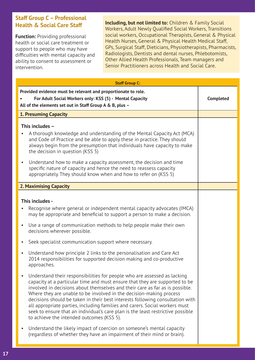## **Staff Group C – Professional Health & Social Care Staff**

**Function: Providing professional** health or social care treatment or support to people who may have difficulties with mental capacity and ability to consent to assessment or intervention.

**Including, but not limited to:** Children & Family Social Workers, Adult Newly Qualified Social Workers, Transitions social workers, Occupational Therapists, General & Physical Health Nurses, General & Physical Health Medical Staff, GPs, Surgical Staff, Dieticians, Physiotherapists, Pharmacists, Radiologists, Dentists and dental nurses, Phlebotomists, Other Allied Health Professionals, Team managers and Senior Practitioners across Health and Social Care.

| <b>Staff Group C:</b>                                                                                                                                                                                                                                                                                                                                                                                                                                                                                                                                                                                                                                                                                  |                  |
|--------------------------------------------------------------------------------------------------------------------------------------------------------------------------------------------------------------------------------------------------------------------------------------------------------------------------------------------------------------------------------------------------------------------------------------------------------------------------------------------------------------------------------------------------------------------------------------------------------------------------------------------------------------------------------------------------------|------------------|
| Provided evidence must be relevant and proportionate to role.<br>For Adult Social Workers only: KSS (5) - Mental Capacity<br>All of the elements set out in Staff Group A & B, plus -                                                                                                                                                                                                                                                                                                                                                                                                                                                                                                                  | <b>Completed</b> |
| <b>1. Presuming Capacity</b>                                                                                                                                                                                                                                                                                                                                                                                                                                                                                                                                                                                                                                                                           |                  |
| This includes -<br>A thorough knowledge and understanding of the Mental Capacity Act (MCA)<br>$\bullet$<br>and Code of Practice and be able to apply these in practice. They should<br>always begin from the presumption that individuals have capacity to make<br>the decision in question (KSS 5)<br>Understand how to make a capacity assessment, the decision and time<br>$\bullet$<br>specific nature of capacity and hence the need to reassess capacity<br>appropriately. They should know when and how to refer on (KSS 5)                                                                                                                                                                     |                  |
| <b>2. Maximising Capacity</b>                                                                                                                                                                                                                                                                                                                                                                                                                                                                                                                                                                                                                                                                          |                  |
| This includes -<br>Recognise where general or independent mental capacity advocates (IMCA)<br>$\bullet$<br>may be appropriate and beneficial to support a person to make a decision.<br>Use a range of communication methods to help people make their own<br>$\bullet$<br>decisions wherever possible.<br>Seek specialist communication support where necessary.<br>$\bullet$<br>Understand how principle 2 links to the personalisation and Care Act<br>$\bullet$                                                                                                                                                                                                                                    |                  |
| 2014 responsibilities for supported decision making and co-productive<br>approaches.<br>Understand their responsibilities for people who are assessed as lacking<br>capacity at a particular time and must ensure that they are supported to be<br>involved in decisions about themselves and their care as far as is possible.<br>Where they are unable to be involved in the decision-making process<br>decisions should be taken in their best interests following consultation with<br>all appropriate parties, including families and carers. Social workers must<br>seek to ensure that an individual's care plan is the least restrictive possible<br>to achieve the intended outcomes (KSS 5). |                  |
| Understand the likely impact of coercion on someone's mental capacity<br>$\bullet$<br>(regardless of whether they have an impairment of their mind or brain).                                                                                                                                                                                                                                                                                                                                                                                                                                                                                                                                          |                  |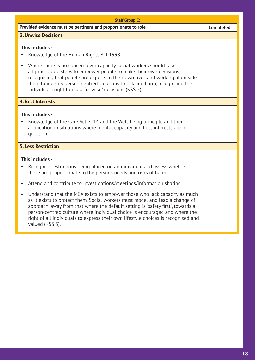| Provided evidence must be pertinent and proportionate to role<br><b>3. Unwise Decisions</b>                                                                                                                                                                                                                                                                                                                                                                                                                                                                                                                                                                                                                         | <b>Completed</b> |
|---------------------------------------------------------------------------------------------------------------------------------------------------------------------------------------------------------------------------------------------------------------------------------------------------------------------------------------------------------------------------------------------------------------------------------------------------------------------------------------------------------------------------------------------------------------------------------------------------------------------------------------------------------------------------------------------------------------------|------------------|
|                                                                                                                                                                                                                                                                                                                                                                                                                                                                                                                                                                                                                                                                                                                     |                  |
|                                                                                                                                                                                                                                                                                                                                                                                                                                                                                                                                                                                                                                                                                                                     |                  |
| This includes -<br>Knowledge of the Human Rights Act 1998<br>$\bullet$<br>Where there is no concern over capacity, social workers should take<br>$\bullet$<br>all practicable steps to empower people to make their own decisions,<br>recognising that people are experts in their own lives and working alongside<br>them to identify person-centred solutions to risk and harm, recognising the<br>individual's right to make "unwise" decisions (KSS 5).                                                                                                                                                                                                                                                         |                  |
| <b>4. Best Interests</b>                                                                                                                                                                                                                                                                                                                                                                                                                                                                                                                                                                                                                                                                                            |                  |
| This includes -<br>Knowledge of the Care Act 2014 and the Well-being principle and their<br>application in situations where mental capacity and best interests are in<br>question.                                                                                                                                                                                                                                                                                                                                                                                                                                                                                                                                  |                  |
| <b>5. Less Restriction</b>                                                                                                                                                                                                                                                                                                                                                                                                                                                                                                                                                                                                                                                                                          |                  |
| This includes -<br>Recognise restrictions being placed on an individual and assess whether<br>$\bullet$<br>these are proportionate to the persons needs and risks of harm.<br>Attend and contribute to investigations/meetings/information sharing.<br>$\bullet$<br>Understand that the MCA exists to empower those who lack capacity as much<br>$\bullet$<br>as it exists to protect them. Social workers must model and lead a change of<br>approach, away from that where the default setting is "safety first", towards a<br>person-centred culture where individual choice is encouraged and where the<br>right of all individuals to express their own lifestyle choices is recognised and<br>valued (KSS 5). |                  |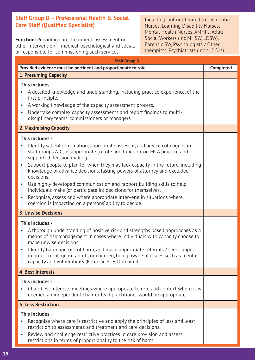## **Staff Group D – Professional Health & Social Care Staff (Qualified Specialist)**

**Function:** Providing care, treatment, assessment or other intervention – medical, psychological and social, or responsible for commissioning such services.

Including, but not limited to: Dementia Nurses, Learning Disability Nurses, Mental Health Nurses, AMHPs, Adult Social Workers (inc MHSW, LDSW), Forensic SW, Psychologists / Other therapists, Psychiatrists (inc s12 Drs).

| <b>Staff Group D:</b>                                                                                                                                                                                                                                                                                                                                                                                                                                                                                                                                                                                                                                                                                         |                  |  |  |
|---------------------------------------------------------------------------------------------------------------------------------------------------------------------------------------------------------------------------------------------------------------------------------------------------------------------------------------------------------------------------------------------------------------------------------------------------------------------------------------------------------------------------------------------------------------------------------------------------------------------------------------------------------------------------------------------------------------|------------------|--|--|
| Provided evidence must be pertinent and proportionate to role                                                                                                                                                                                                                                                                                                                                                                                                                                                                                                                                                                                                                                                 | <b>Completed</b> |  |  |
| <b>1. Presuming Capacity</b>                                                                                                                                                                                                                                                                                                                                                                                                                                                                                                                                                                                                                                                                                  |                  |  |  |
| This includes -<br>A detailed knowledge and understanding, including practice experience, of the<br>first principle.<br>A working knowledge of the capacity assessment process.<br>$\bullet$<br>Undertake complex capacity assessments and report findings to multi-<br>disciplinary teams, commissioners or managers.                                                                                                                                                                                                                                                                                                                                                                                        |                  |  |  |
| 2. Maximising Capacity                                                                                                                                                                                                                                                                                                                                                                                                                                                                                                                                                                                                                                                                                        |                  |  |  |
| This includes -<br>Identify salient information, appropriate assessor, and advice colleagues in<br>staff groups A-C, as appropriate to role and function, on MCA practice and<br>supported decision making.<br>Support people to plan for when they may lack capacity in the future, including<br>$\bullet$<br>knowledge of advance decisions, lasting powers of attorney and excluded<br>decisions.<br>Use highly developed communication and rapport building skills to help<br>$\bullet$<br>individuals make (or participate in) decisions for themselves.<br>Recognise, assess and where appropriate intervene in situations where<br>$\bullet$<br>coercion is impacting on a persons' ability to decide. |                  |  |  |
| <b>3. Unwise Decisions</b>                                                                                                                                                                                                                                                                                                                                                                                                                                                                                                                                                                                                                                                                                    |                  |  |  |
| This includes -<br>A thorough understanding of positive risk and strengths based approaches as a<br>means of risk management in cases where individuals with capacity choose to<br>make unwise decisions.<br>• Identify harm and risk of harm, and make appropriate referrals / seek support<br>in order to safequard adults or children, being aware of issues such as mental<br>capacity and vulnerability (Forensic PCF, Domain 4).                                                                                                                                                                                                                                                                        |                  |  |  |
| <b>4. Best Interests</b>                                                                                                                                                                                                                                                                                                                                                                                                                                                                                                                                                                                                                                                                                      |                  |  |  |
| This includes -<br>Chair best interests meetings where appropriate to role and context where it is<br>deemed an independent chair or lead practitioner would be appropriate.                                                                                                                                                                                                                                                                                                                                                                                                                                                                                                                                  |                  |  |  |
| <b>5. Less Restriction</b>                                                                                                                                                                                                                                                                                                                                                                                                                                                                                                                                                                                                                                                                                    |                  |  |  |
| This includes -<br>Recognise where care is restrictive and apply the principles of less and least<br>restriction to assessments and treatment and care decisions.<br>Review and challenge restrictive practices in care provision and assess<br>$\bullet$<br>restrictions in terms of proportionality to the risk of harm.                                                                                                                                                                                                                                                                                                                                                                                    |                  |  |  |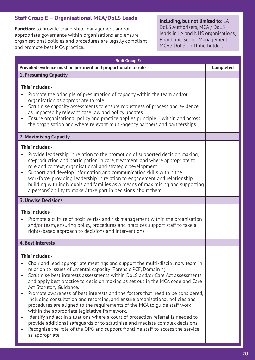## **Staff Group E – Organisational MCA/DoLS Leads**

**Function:** to provide leadership, management and/or appropriate governance within organisations and ensure organisational policies and procedures are legally compliant and promote best MCA practice.

**Including, but not limited to:** LA DoLS Authorisers, MCA / DoLS leads in LA and NHS organisations, Board and Senior Management MCA / DoLS portfolio holders.

| <b>Staff Group E:</b>                                                                                                                                                                                                                                                                                                                                                                                                                                                                                                                                                                                                                                                                                                                                                                                                                                                                                                                                                   |                  |  |
|-------------------------------------------------------------------------------------------------------------------------------------------------------------------------------------------------------------------------------------------------------------------------------------------------------------------------------------------------------------------------------------------------------------------------------------------------------------------------------------------------------------------------------------------------------------------------------------------------------------------------------------------------------------------------------------------------------------------------------------------------------------------------------------------------------------------------------------------------------------------------------------------------------------------------------------------------------------------------|------------------|--|
| Provided evidence must be pertinent and proportionate to role                                                                                                                                                                                                                                                                                                                                                                                                                                                                                                                                                                                                                                                                                                                                                                                                                                                                                                           | <b>Completed</b> |  |
| <b>1. Presuming Capacity</b>                                                                                                                                                                                                                                                                                                                                                                                                                                                                                                                                                                                                                                                                                                                                                                                                                                                                                                                                            |                  |  |
| This includes -<br>Promote the principle of presumption of capacity within the team and/or<br>organisation as appropriate to role.<br>Scrutinise capacity assessments to ensure robustness of process and evidence<br>as impacted by relevant case law and policy updates.<br>Ensure organisational policy and practice applies principle 1 within and across<br>$\bullet$<br>the organisation and where relevant multi-agency partners and partnerships.                                                                                                                                                                                                                                                                                                                                                                                                                                                                                                               |                  |  |
| 2. Maximising Capacity                                                                                                                                                                                                                                                                                                                                                                                                                                                                                                                                                                                                                                                                                                                                                                                                                                                                                                                                                  |                  |  |
| This includes -<br>Provide leadership in relation to the promotion of supported decision making,<br>co-production and participation in care, treatment, and where appropriate to<br>role and context, organisational and strategic development.<br>Support and develop information and communication skills within the<br>workforce, providing leadership in relation to engagement and relationship<br>building with individuals and families as a means of maximising and supporting<br>a persons' ability to make / take part in decisions about them.                                                                                                                                                                                                                                                                                                                                                                                                               |                  |  |
| <b>3. Unwise Decisions</b>                                                                                                                                                                                                                                                                                                                                                                                                                                                                                                                                                                                                                                                                                                                                                                                                                                                                                                                                              |                  |  |
| This includes -<br>Promote a culture of positive risk and risk management within the organisation<br>and/or team, ensuring policy, procedures and practices support staff to take a<br>rights-based approach to decisions and interventions.                                                                                                                                                                                                                                                                                                                                                                                                                                                                                                                                                                                                                                                                                                                            |                  |  |
| <b>4. Best Interests</b>                                                                                                                                                                                                                                                                                                                                                                                                                                                                                                                                                                                                                                                                                                                                                                                                                                                                                                                                                |                  |  |
| This includes -<br>Chair and lead appropriate meetings and support the multi-disciplinary team in<br>relation to issues ofmental capacity (Forensic PCF, Domain 4).<br>Scrutinise best interests assessments within DoLS and/or Care Act assessments<br>$\bullet$<br>and apply best practice to decision making as set out in the MCA code and Care<br>Act Statutory Guidance.<br>Promote awareness of best interests and the factors that need to be considered,<br>including consultation and recording, and ensure organisational policies and<br>procedures are aligned to the requirements of the MCA to quide staff work<br>within the appropriate legislative framework.<br>Identify and act in situations where a court of protection referral is needed to<br>provide additional safeguards or to scrutinise and mediate complex decisions.<br>Recognise the role of the OPG and support frontline staff to access the service<br>$\bullet$<br>as appropriate. |                  |  |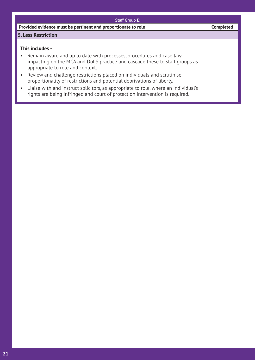| <b>Staff Group E:</b>                                                                                                                                                                                                                                                                                                                                                                                                                                                                                                               |                  |  |
|-------------------------------------------------------------------------------------------------------------------------------------------------------------------------------------------------------------------------------------------------------------------------------------------------------------------------------------------------------------------------------------------------------------------------------------------------------------------------------------------------------------------------------------|------------------|--|
| Provided evidence must be pertinent and proportionate to role                                                                                                                                                                                                                                                                                                                                                                                                                                                                       | <b>Completed</b> |  |
| <b>5. Less Restriction</b>                                                                                                                                                                                                                                                                                                                                                                                                                                                                                                          |                  |  |
| This includes -<br>Remain aware and up to date with processes, procedures and case law<br>impacting on the MCA and DoLS practice and cascade these to staff groups as<br>appropriate to role and context.<br>Review and challenge restrictions placed on individuals and scrutinise<br>proportionality of restrictions and potential deprivations of liberty.<br>Liaise with and instruct solicitors, as appropriate to role, where an individual's<br>rights are being infringed and court of protection intervention is required. |                  |  |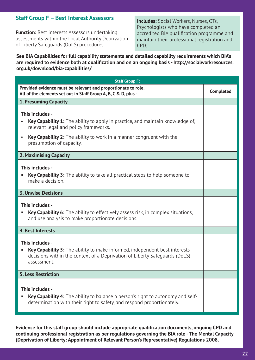## **Staff Group F – Best Interest Assessors**

**Function:** Best interests Assessors undertaking assessments within the Local Authority Deprivation of Liberty Safeguards (DoLS) procedures.

**Includes:** Social Workers, Nurses, OTs, Psychologists who have completed an accredited BIA qualification programme and maintain their professional registration and CPD.

#### **See BIA Capabilities for full capability statements and detailed capability requirements which BIA's are required to evidence both at qualification and on an ongoing basis - http://socialworkresources. org.uk/download/bia-capabilities/**

| <b>Staff Group F:</b>                                                                                                                                                                                                                                                                  |                  |
|----------------------------------------------------------------------------------------------------------------------------------------------------------------------------------------------------------------------------------------------------------------------------------------|------------------|
| Provided evidence must be relevant and proportionate to role.<br>All of the elements set out in Staff Group A, B, C & D, plus -                                                                                                                                                        | <b>Completed</b> |
| <b>1. Presuming Capacity</b>                                                                                                                                                                                                                                                           |                  |
| This includes -<br><b>Key Capability 1:</b> The ability to apply in practice, and maintain knowledge of,<br>$\bullet$<br>relevant legal and policy frameworks.<br><b>Key Capability 2:</b> The ability to work in a manner congruent with the<br>$\bullet$<br>presumption of capacity. |                  |
| 2. Maximising Capacity                                                                                                                                                                                                                                                                 |                  |
| This includes -<br><b>Key Capability 3:</b> The ability to take all practical steps to help someone to<br>п<br>make a decision.                                                                                                                                                        |                  |
| <b>3. Unwise Decisions</b>                                                                                                                                                                                                                                                             |                  |
| This includes -<br><b>Key Capability 6:</b> The ability to effectively assess risk, in complex situations,<br>п<br>and use analysis to make proportionate decisions.                                                                                                                   |                  |
| <b>4. Best Interests</b>                                                                                                                                                                                                                                                               |                  |
| This includes -<br><b>Key Capability 5:</b> The ability to make informed, independent best interests<br>п<br>decisions within the context of a Deprivation of Liberty Safequards (DoLS)<br>assessment.                                                                                 |                  |
| <b>5. Less Restriction</b>                                                                                                                                                                                                                                                             |                  |
| This includes -<br><b>Key Capability 4:</b> The ability to balance a person's right to autonomy and self-<br>determination with their right to safety, and respond proportionately.                                                                                                    |                  |

**Evidence for this staff group should include appropriate qualification documents, ongoing CPD and continuing professional registration as per regulations governing the BIA role - The Mental Capacity (Deprivation of Liberty: Appointment of Relevant Person's Representative) Regulations 2008.**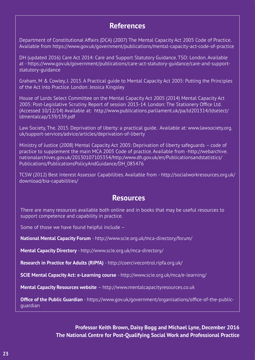## **References**

Department of Constitutional Affairs (DCA) (2007) The Mental Capacity Act 2005 Code of Practice. Available from https://www.gov.uk/government/publications/mental-capacity-act-code-of-practice

DH (updated 2016) Care Act 2014: Care and Support Statutory Guidance. TSO: London. Available at - https://www.gov.uk/government/publications/care-act-statutory-guidance/care-and-supportstatutory-guidance

Graham, M & Cowley, J. 2015. A Practical guide to Mental Capacity Act 2005: Putting the Principles of the Act into Practice. London: Jessica Kingsley

House of Lords Select Committee on the Mental Capacity Act 2005 (2014) Mental Capacity Act 2005: Post-Legislative Scrutiny. Report of session 2013-14. London: The Stationery Office Ltd. (Accessed 10/12/14) Available at: http://www.publications.parliament.uk/pa/ld201314/ldselect/ ldmentalcap/139/139.pdf

Law Society, The. 2015. Deprivation of liberty: a practical guide. Available at: www.lawsociety.org. uk/support-services/advice/articles/deprivation-of-liberty

Ministry of Justice (2008) Mental Capacity Act 2005: Deprivation of liberty safeguards – code of practice to supplement the main MCA 2005 Code of practice. Available from -http://webarchive. nationalarchives.gov.uk/20130107105354/http:/www.dh.gov.uk/en/Publicationsandstatistics/ Publications/PublicationsPolicyAndGuidance/DH\_085476

TCSW (2012) Best Interest Assessor Capabilities. Available from - http://socialworkresources.org.uk/ download/bia-capabilities/

## **Resources**

There are many resources available both online and in books that may be useful resources to support competence and capability in practice.

Some of those we have found helpful include –

**National Mental Capacity Forum** - http://www.scie.org.uk/mca-directory/forum/

**Mental Capacity Directory** - http://www.scie.org.uk/mca-directory/

**Research in Practice for Adults (RiPfA)** - http://coercivecontrol.ripfa.org.uk/

**SCIE Mental Capacity Act: e-Learning course** - http://www.scie.org.uk/mca/e-learning/

**Mental Capacity Resources website** – http://www.mentalcapacityresources.co.uk

**Office of the Public Guardian** - https://www.gov.uk/government/organisations/office-of-the-publicguardian

> **Professor Keith Brown, Daisy Bogg and Michael Lyne, December 2016 The National Centre for Post-Qualifying Social Work and Professional Practice**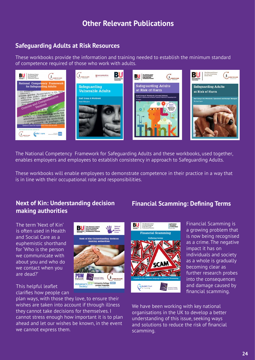# **Other Relevant Publications**

## **Safeguarding Adults at Risk Resources**

These workbooks provide the information and training needed to establish the minimum standard of competence required of those who work with adults.



The National Competency Framework for Safeguarding Adults and these workbooks, used together, enables employers and employees to establish consistency in approach to Safeguarding Adults.

These workbooks will enable employees to demonstrate competence in their practice in a way that is in line with their occupational role and responsibilities.

## **Next of Kin: Understanding decision making authorities**

**Next of Kin: Understanding decision** 

ctsi

Alzheimer's

Chartered Trading<br>Standards Institute University College **NITS**<br>London Hospitals

LEARN TO CARE

The term 'Next of Kin' is often used in Health and Social Care as a euphemistic shorthand for 'Who is the person we communicate with about you and who do we contact when you are dead?'

This helpful leaflet clarifies how people can

plan ways, with those they love, to ensure their wishes are taken into account if through illness they cannot take decisions for themselves. I cannot stress enough how important it is to plan ahead and let our wishes be known, in the event we cannot express them.

## **Financial Scamming: Defining Terms**



Financial Scamming is a growing problem that is now being recognised as a crime. The negative impact it has on individuals and society as a whole is gradually becoming clear as further research probes into the consequences and damage caused by financial scamming.

We have been working with key national organisations in the UK to develop a better understanding of this issue, seeking ways and solutions to reduce the risk of financial scamming.